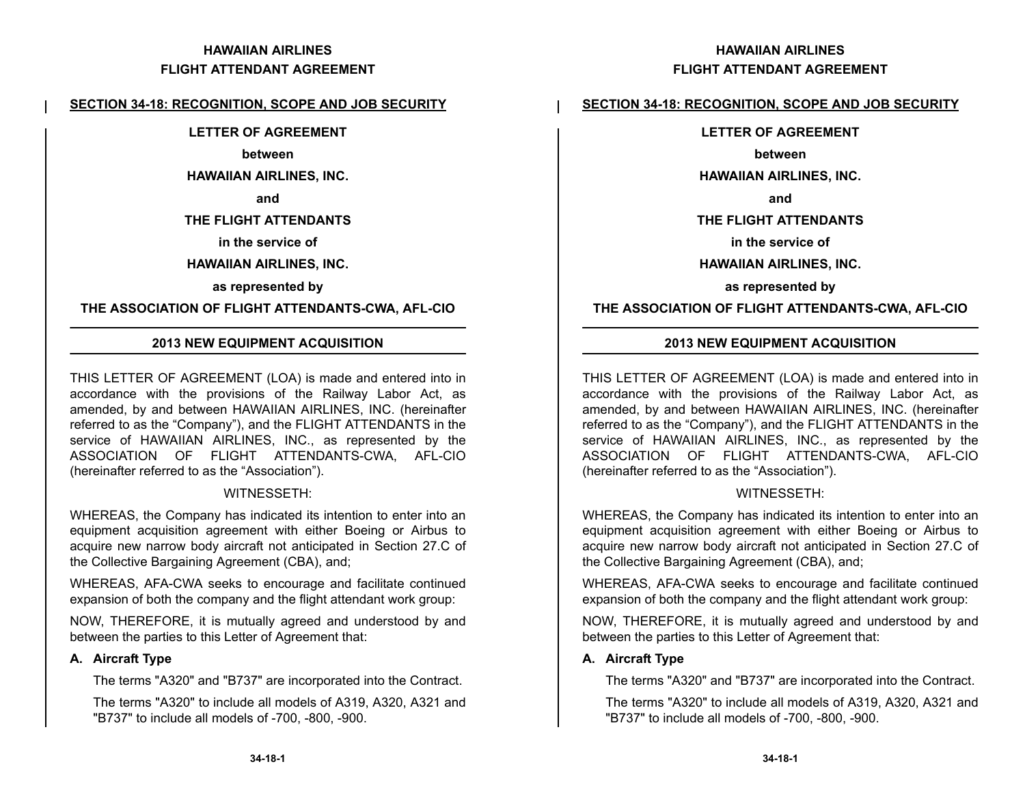### **SECTION 34-18: RECOGNITION, SCOPE AND JOB SECURITY**

#### **LETTER OF AGREEMENT**

#### **between**

#### **HAWAIIAN AIRLINES, INC.**

#### **and**

#### **THE FLIGHT ATTENDANTS**

#### **in the service of**

#### **HAWAIIAN AIRLINES, INC.**

#### **as represented by**

### **THE ASSOCIATION OF FLIGHT ATTENDANTS-CWA, AFL-CIO**

### **2013 NEW EQUIPMENT ACQUISITION**

THIS LETTER OF AGREEMENT (LOA) is made and entered into in accordance with the provisions of the Railway Labor Act, as amended, by and between HAWAIIAN AIRLINES, INC. (hereinafter referred to as the "Company"), and the FLIGHT ATTENDANTS in the service of HAWAIIAN AIRLINES, INC., as represented by the ASSOCIATION OF FLIGHT ATTENDANTS-CWA, AFL-CIO (hereinafter referred to as the "Association").

#### WITNESSETH:

WHEREAS, the Company has indicated its intention to enter into an equipment acquisition agreement with either Boeing or Airbus to acquire new narrow body aircraft not anticipated in Section 27.C of the Collective Bargaining Agreement (CBA), and;

WHEREAS, AFA-CWA seeks to encourage and facilitate continued expansion of both the company and the flight attendant work group:

NOW, THEREFORE, it is mutually agreed and understood by and between the parties to this Letter of Agreement that:

#### **A. Aircraft Type**

The terms "A320" and "B737" are incorporated into the Contract.

The terms "A320" to include all models of A319, A320, A321 and "B737" to include all models of -700, -800, -900.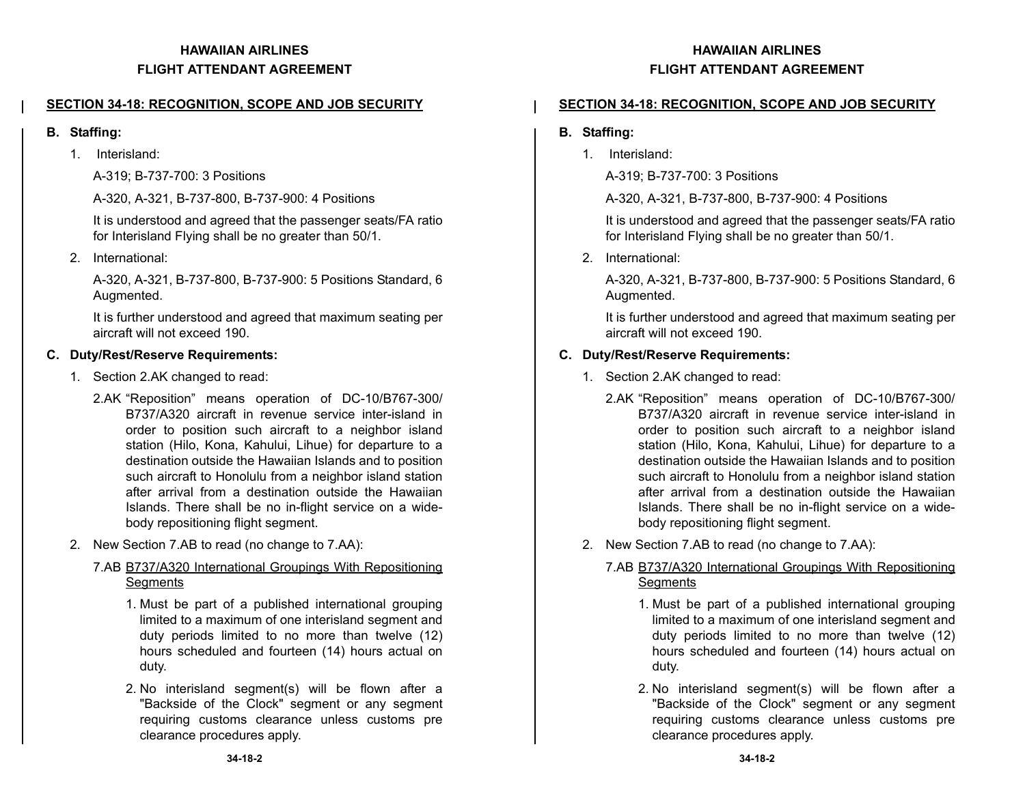## **SECTION 34-18: RECOGNITION, SCOPE AND JOB SECURITY**

#### **B. Staffing:**

1. Interisland:

A-319; B-737-700: 3 Positions

A-320, A-321, B-737-800, B-737-900: 4 Positions

It is understood and agreed that the passenger seats/FA ratio for Interisland Flying shall be no greater than 50/1.

2. International:

A-320, A-321, B-737-800, B-737-900: 5 Positions Standard, 6 Augmented.

It is further understood and agreed that maximum seating per aircraft will not exceed 190.

### **C. Duty/Rest/Reserve Requirements:**

- 1. Section 2.AK changed to read:
	- 2.AK "Reposition" means operation of DC-10/B767-300/ B737/A320 aircraft in revenue service inter-island in order to position such aircraft to a neighbor island station (Hilo, Kona, Kahului, Lihue) for departure to a destination outside the Hawaiian Islands and to position such aircraft to Honolulu from a neighbor island station after arrival from a destination outside the HawaiianIslands. There shall be no in-flight service on a widebody repositioning flight segment.
- 2. New Section 7.AB to read (no change to 7.AA):
	- 7.AB B737/A320 International Groupings With Repositioning **Segments** 
		- 1. Must be part of a published international grouping limited to a maximum of one interisland segment and duty periods limited to no more than twelve (12) hours scheduled and fourteen (14) hours actual on duty.
		- 2. No interisland segment(s) will be flown after a "Backside of the Clock" segment or any segment requiring customs clearance unless customs pre clearance procedures apply.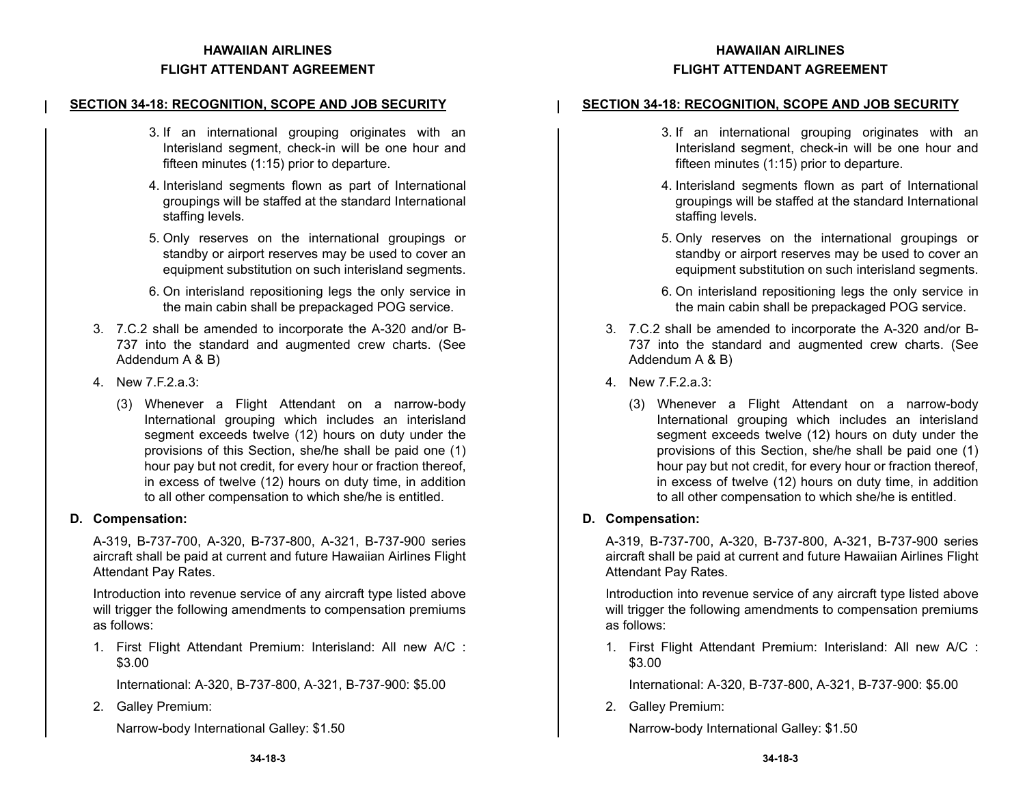## **SECTION 34-18: RECOGNITION, SCOPE AND JOB SECURITY**

- 3. If an international grouping originates with an Interisland segment, check-in will be one hour and fifteen minutes (1:15) prior to departure.
- 4. Interisland segments flown as part of International groupings will be staffed at the standard International staffing levels.
- 5. Only reserves on the international groupings or standby or airport reserves may be used to cover an equipment substitution on such interisland segments.
- 6. On interisland repositioning legs the only service in the main cabin shall be prepackaged POG service.
- 3. 7.C.2 shall be amended to incorporate the A-320 and/or B-737 into the standard and augmented crew charts. (See Addendum A & B)
- 4. New 7.F.2.a.3:
	- (3) Whenever a Flight Attendant on a narrow-body International grouping which includes an interisland segment exceeds twelve (12) hours on duty under the provisions of this Section, she/he shall be paid one (1) hour pay but not credit, for every hour or fraction thereof, in excess of twelve (12) hours on duty time, in addition to all other compensation to which she/he is entitled.

### **D. Compensation:**

A-319, B-737-700, A-320, B-737-800, A-321, B-737-900 series aircraft shall be paid at current and future Hawaiian Airlines Flight Attendant Pay Rates.

Introduction into revenue service of any aircraft type listed above will trigger the following amendments to compensation premiums as follows:

1. First Flight Attendant Premium: Interisland: All new A/C : \$3.00

International: A-320, B-737-800, A-321, B-737-900: \$5.00

2. Galley Premium:

Narrow-body International Galley: \$1.50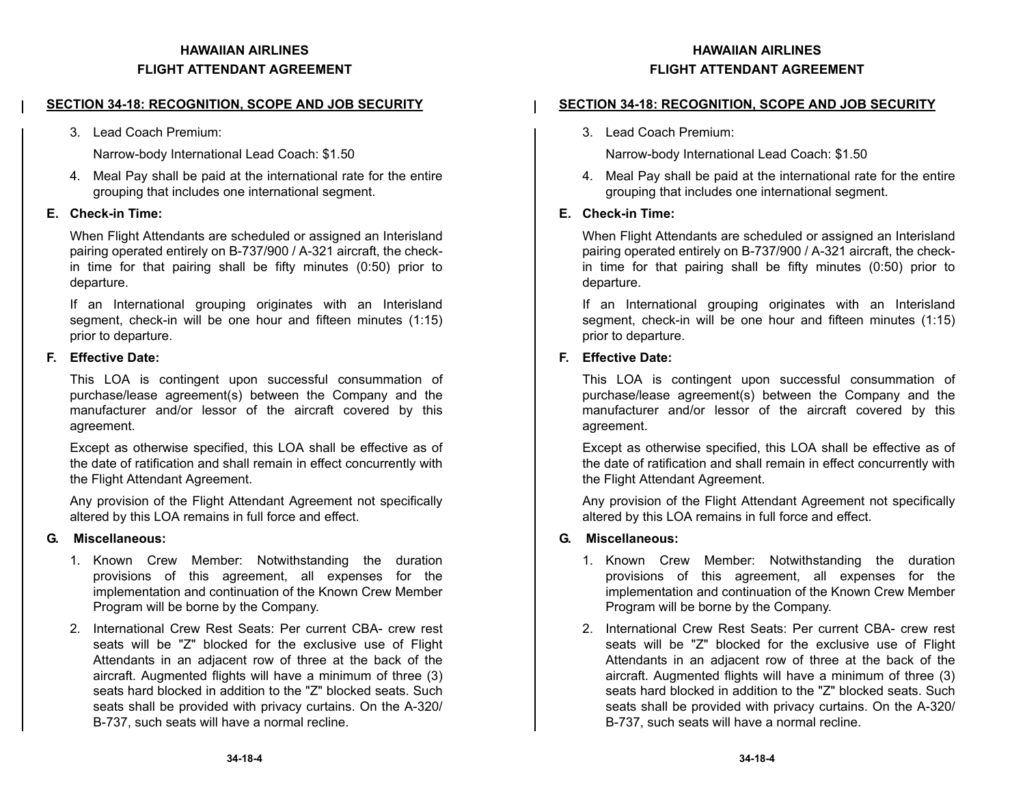### **SECTION 34-18: RECOGNITION, SCOPE AND JOB SECURITY**

3. Lead Coach Premium:

Narrow-body International Lead Coach: \$1.50

4. Meal Pay shall be paid at the international rate for the entire grouping that includes one international segment.

### **E. Check-in Time:**

When Flight Attendants are scheduled or assigned an Interisland pairing operated entirely on B-737/900 / A-321 aircraft, the checkin time for that pairing shall be fifty minutes (0:50) prior to departure.

If an International grouping originates with an Interisland segment, check-in will be one hour and fifteen minutes (1:15) prior to departure.

#### **F. Effective Date:**

This LOA is contingent upon successful consummation of purchase/lease agreement(s) between the Company and the manufacturer and/or lessor of the aircraft covered by this agreement.

Except as otherwise specified, this LOA shall be effective as of the date of ratification and shall remain in effect concurrently with the Flight Attendant Agreement.

Any provision of the Flight Attendant Agreement not specifically altered by this LOA remains in full force and effect.

#### **G. Miscellaneous:**

- 1. Known Crew Member: Notwithstanding the duration provisions of this agreement, all expenses for the implementation and continuation of the Known Crew Member Program will be borne by the Company.
- 2. International Crew Rest Seats: Per current CBA- crew restseats will be "Z" blocked for the exclusive use of Flight Attendants in an adjacent row of three at the back of the aircraft. Augmented flights will have a minimum of three (3) seats hard blocked in addition to the "Z" blocked seats. Suchseats shall be provided with privacy curtains. On the A-320/ B-737, such seats will have a normal recline.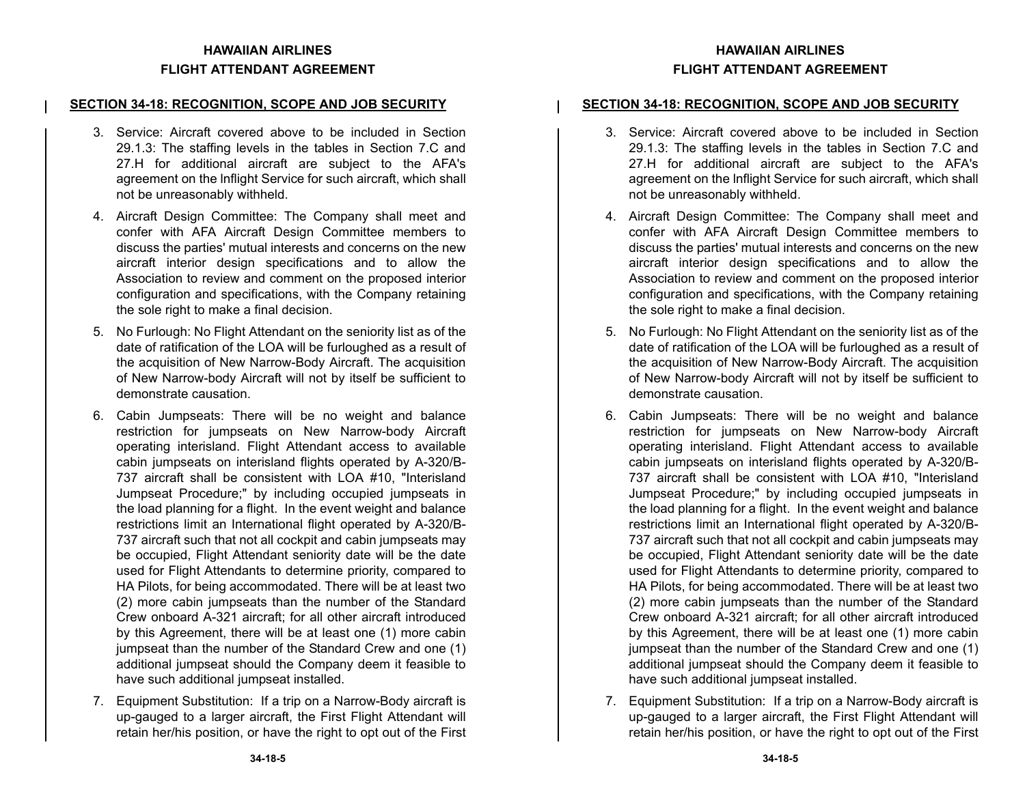### **SECTION 34-18: RECOGNITION, SCOPE AND JOB SECURITY**

- 3. Service: Aircraft covered above to be included in Section29.1.3: The staffing levels in the tables in Section 7.C and 27.H for additional aircraft are subject to the AFA's agreement on the Inflight Service for such aircraft, which shall not be unreasonably withheld.
- 4. Aircraft Design Committee: The Company shall meet and confer with AFA Aircraft Design Committee members to discuss the parties' mutual interests and concerns on the new aircraft interior design specifications and to allow the Association to review and comment on the proposed interior configuration and specifications, with the Company retaining the sole right to make a final decision.
- 5. No Furlough: No Flight Attendant on the seniority list as of the date of ratification of the LOA will be furloughed as a result of the acquisition of New Narrow-Body Aircraft. The acquisition of New Narrow-body Aircraft will not by itself be sufficient to demonstrate causation.
- 6. Cabin Jumpseats: There will be no weight and balance restriction for jumpseats on New Narrow-body Aircraft operating interisland. Flight Attendant access to available cabin jumpseats on interisland flights operated by A-320/B-737 aircraft shall be consistent with LOA #10, "Interisland Jumpseat Procedure;" by including occupied jumpseats in the load planning for a flight. In the event weight and balance restrictions limit an International flight operated by A-320/B-737 aircraft such that not all cockpit and cabin jumpseats may be occupied, Flight Attendant seniority date will be the date used for Flight Attendants to determine priority, compared to HA Pilots, for being accommodated. There will be at least two (2) more cabin jumpseats than the number of the Standard Crew onboard A-321 aircraft; for all other aircraft introduced by this Agreement, there will be at least one (1) more cabin jumpseat than the number of the Standard Crew and one (1) additional jumpseat should the Company deem it feasible to have such additional jumpseat installed.
- 7. Equipment Substitution: If a trip on a Narrow-Body aircraft is up-gauged to a larger aircraft, the First Flight Attendant will retain her/his position, or have the right to opt out of the First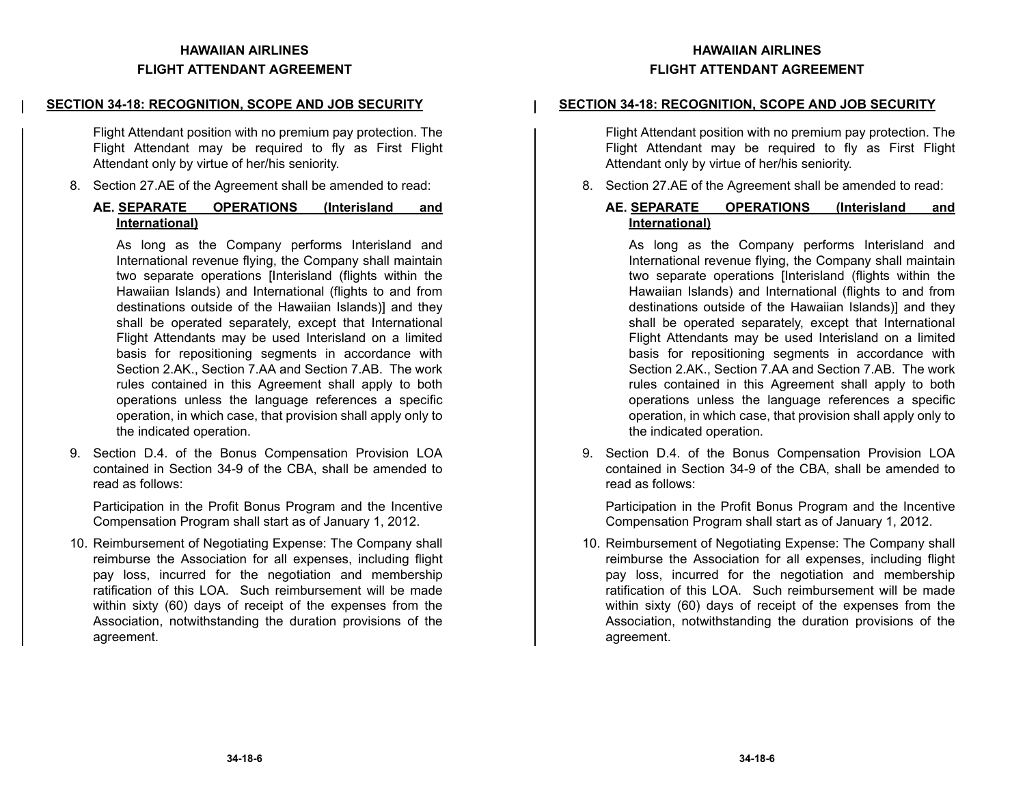### **SECTION 34-18: RECOGNITION, SCOPE AND JOB SECURITY**

Flight Attendant position with no premium pay protection. The Flight Attendant may be required to fly as First Flight Attendant only by virtue of her/his seniority.

8. Section 27.AE of the Agreement shall be amended to read:

## **AE. SEPARATE OPERATIONS (Interisland and International)**

As long as the Company performs Interisland and International revenue flying, the Company shall maintain two separate operations [Interisland (flights within the Hawaiian Islands) and International (flights to and from destinations outside of the Hawaiian Islands)] and they shall be operated separately, except that International Flight Attendants may be used Interisland on a limited basis for repositioning segments in accordance with Section 2.AK., Section 7.AA and Section 7.AB. The work rules contained in this Agreement shall apply to both operations unless the language references a specific operation, in which case, that provision shall apply only to the indicated operation.

9. Section D.4. of the Bonus Compensation Provision LOA contained in Section 34-9 of the CBA, shall be amended to read as follows:

Participation in the Profit Bonus Program and the Incentive Compensation Program shall start as of January 1, 2012.

10. Reimbursement of Negotiating Expense: The Company shall reimburse the Association for all expenses, including flight pay loss, incurred for the negotiation and membership ratification of this LOA. Such reimbursement will be madewithin sixty (60) days of receipt of the expenses from the Association, notwithstanding the duration provisions of the agreement.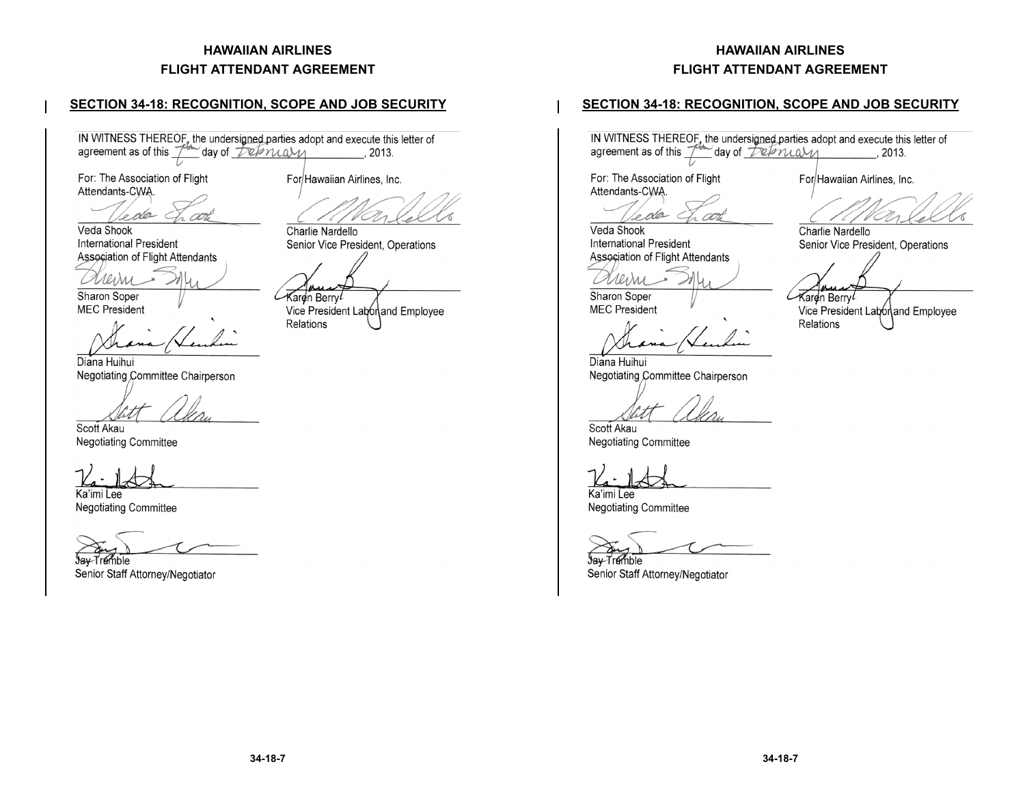## **SECTION 34-18: RECOGNITION, SCOPE AND JOB SECURITY**

IN WITNESS THEREOF, the undersigned parties adopt and execute this letter of agreement as of this  $\mathcal{T}^{\bullet\bullet}$  day of  $\mathcal{L}^{\bullet}$  and  $\mathcal{M}$  , 2013.

For: The Association of Flight Attendants-CWA.

de c Veda Shook

**International President** Association of Flight Attendants

Л0л

Sharon Soper **MEC President** 

Diana Huihui Negotiating Committee Chairperson

Scott Akau

**Negotiating Committee** 

Ka'imi Lee

**Negotiating Committee** 

∜ay-Tr⊮mble

Senior Staff Attorney/Negotiator

For Hawaiian Airlines, Inc.

Charlie Nardello Senior Vice President, Operations

Karen Berry*l* 

Vice President Laborand Employee Relations